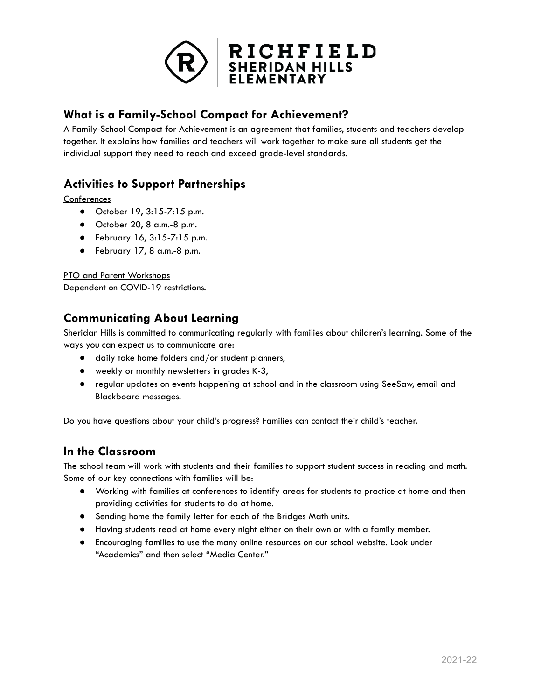

## **What is a Family-School Compact for Achievement?**

A Family-School Compact for Achievement is an agreement that families, students and teachers develop together. It explains how families and teachers will work together to make sure all students get the individual support they need to reach and exceed grade-level standards.

# **Activities to Support Partnerships**

**Conferences** 

- October 19, 3:15-7:15 p.m.
- October 20, 8 a.m.-8 p.m.
- February 16, 3:15-7:15 p.m.
- February 17, 8 a.m.-8 p.m.

PTO and Parent Workshops

Dependent on COVID-19 restrictions.

### **Communicating About Learning**

Sheridan Hills is committed to communicating regularly with families about children's learning. Some of the ways you can expect us to communicate are:

- daily take home folders and/or student planners,
- weekly or monthly newsletters in grades K-3,
- regular updates on events happening at school and in the classroom using SeeSaw, email and Blackboard messages.

Do you have questions about your child's progress? Families can contact their child's teacher.

### **In the Classroom**

The school team will work with students and their families to support student success in reading and math. Some of our key connections with families will be:

- Working with families at conferences to identify areas for students to practice at home and then providing activities for students to do at home.
- Sending home the family letter for each of the Bridges Math units.
- Having students read at home every night either on their own or with a family member.
- Encouraging families to use the many online resources on our school website. Look under "Academics" and then select "Media Center."